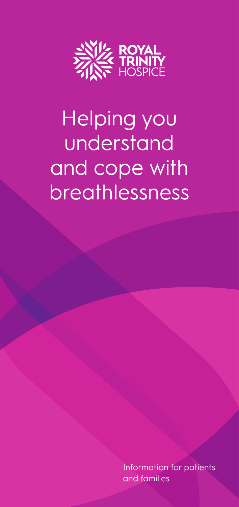

# Helping you understand and cope with breathlessness

Information for patients and families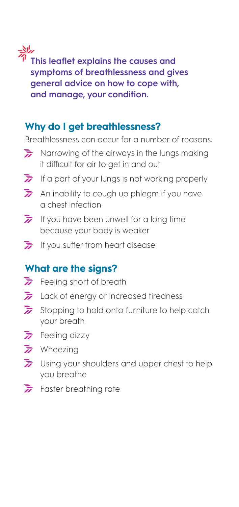**This leaflet explains the causes and** <br>This leaflet explains the causes and **symptoms of breathlessness and gives general advice on how to cope with, and manage, your condition.**

# **Why do I get breathlessness?**

Breathlessness can occur for a number of reasons:

- $\sum$  Narrowing of the airways in the lungs making it difficult for air to get in and out
- If a part of your lungs is not working properly
- $\overline{h}$  An inability to cough up phlegm if you have a chest infection
- If you have been unwell for a long time because your body is weaker
- If you suffer from heart disease

# **What are the signs?**

- $\overline{h}$  Feeling short of breath
- $\overline{z}$  Lack of energy or increased tiredness
- $\overline{\mathbf{z}}$  Stopping to hold onto furniture to help catch your breath
- $\overline{z}$  Feeling dizzy
- $\overline{h}$  Wheezing
- Using your shoulders and upper chest to help you breathe
- $\overline{h}$  Faster breathing rate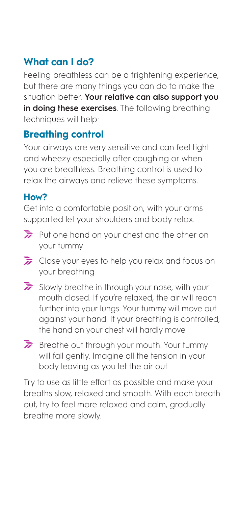# **What can I do?**

Feeling breathless can be a frightening experience, but there are many things you can do to make the situation better. **Your relative can also support you in doing these exercises**. The following breathing techniques will help:

# **Breathing control**

Your airways are very sensitive and can feel tight and wheezy especially after coughing or when you are breathless. Breathing control is used to relax the airways and relieve these symptoms.

# **How?**

Get into a comfortable position, with your arms supported let your shoulders and body relax.

- $\overrightarrow{a}$  Put one hand on your chest and the other on your tummy
- $\overline{\mathbf{z}}$  Close your eves to help you relax and focus on your breathing
- $\overline{\mathbf{z}}$  Slowly breathe in through your nose, with your mouth closed. If you're relaxed, the air will reach further into your lungs. Your tummy will move out against your hand. If your breathing is controlled, the hand on your chest will hardly move
- $\overline{\lambda}$  Breathe out through your mouth. Your tummy will fall gently. Imagine all the tension in your body leaving as you let the air out

Try to use as little effort as possible and make your breaths slow, relaxed and smooth. With each breath out, try to feel more relaxed and calm, gradually breathe more slowly.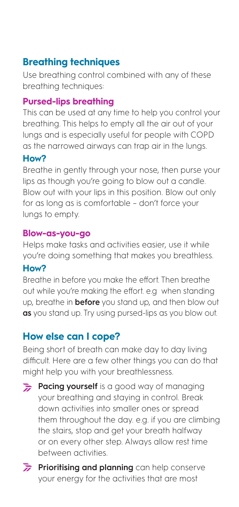# **Breathing techniques**

Use breathing control combined with any of these breathing techniques:

#### **Pursed-lips breathing**

This can be used at any time to help you control your breathing. This helps to empty all the air out of your lungs and is especially useful for people with COPD as the narrowed airways can trap air in the lungs.

#### **How?**

Breathe in gently through your nose, then purse your lips as though you're going to blow out a candle. Blow out with your lips in this position. Blow out only for as long as is comfortable – don't force your lungs to empty.

#### **Blow-as-you-go**

Helps make tasks and activities easier, use it while you're doing something that makes you breathless.

#### **How?**

Breathe in before you make the effort. Then breathe out while you're making the effort. e.g when standing up, breathe in **before** you stand up, and then blow out **as** you stand up. Try using pursed-lips as you blow out.

# **How else can I cope?**

Being short of breath can make day to day living difficult. Here are a few other things you can do that might help you with your breathlessness.

- **Pacing yourself** is a good way of managing your breathing and staying in control. Break down activities into smaller ones or spread them throughout the day. e.g. if you are climbing the stairs, stop and get your breath halfway or on every other step. Always allow rest time between activities.
- **Prioritising and planning** can help conserve your energy for the activities that are most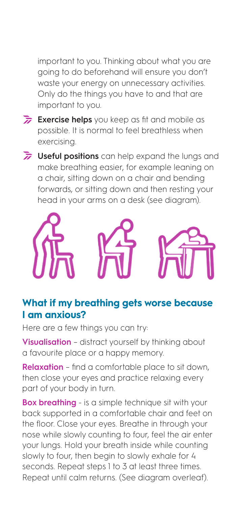important to you. Thinking about what you are going to do beforehand will ensure you don't waste your energy on unnecessary activities. Only do the things you have to and that are important to you.

- **Exercise helps** you keep as fit and mobile as possible. It is normal to feel breathless when exercising.
- **If Useful positions** can help expand the lungs and make breathing easier, for example leaning on a chair, sitting down on a chair and bending forwards, or sitting down and then resting your head in your arms on a desk (see diagram).



# **What if my breathing gets worse because I am anxious?**

Here are a few things you can try:

**Visualisation** – distract yourself by thinking about a favourite place or a happy memory.

**Relaxation** – find a comfortable place to sit down, then close your eyes and practice relaxing every part of your body in turn.

**Box breathing** - is a simple technique sit with your back supported in a comfortable chair and feet on the floor. Close your eyes. Breathe in through your nose while slowly counting to four, feel the air enter your lungs. Hold your breath inside while counting slowly to four, then begin to slowly exhale for 4 seconds. Repeat steps 1 to 3 at least three times. Repeat until calm returns. (See diagram overleaf).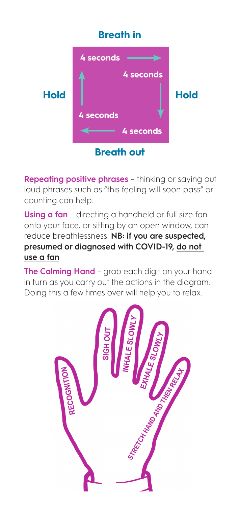# **Breath in**



**Repeating positive phrases** – thinking or saying out loud phrases such as "this feeling will soon pass" or counting can help.

**Using a fan** – directing a handheld or full size fan onto your face, or sitting by an open window, can reduce breathlessness. **NB: if you are suspected, presumed or diagnosed with COVID-19, do not use a fan**

**The Calming Hand** - grab each digit on your hand in turn as you carry out the actions in the diagram. Doing this a few times over will help you to relax.

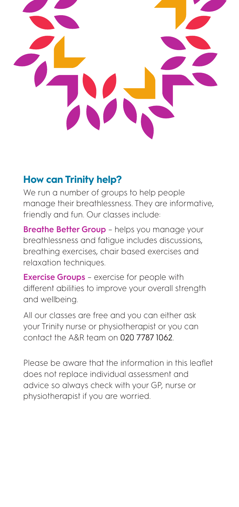# **How can Trinity help?**

We run a number of groups to help people manage their breathlessness. They are informative, friendly and fun. Our classes include:

**Breathe Better Group** – helps you manage your breathlessness and fatigue includes discussions, breathing exercises, chair based exercises and relaxation techniques.

**Exercise Groups** – exercise for people with different abilities to improve your overall strength and wellbeing.

All our classes are free and you can either ask your Trinity nurse or physiotherapist or you can contact the A&R team on 020 7787 1062.

Please be aware that the information in this leaflet does not replace individual assessment and advice so always check with your GP, nurse or physiotherapist if you are worried.